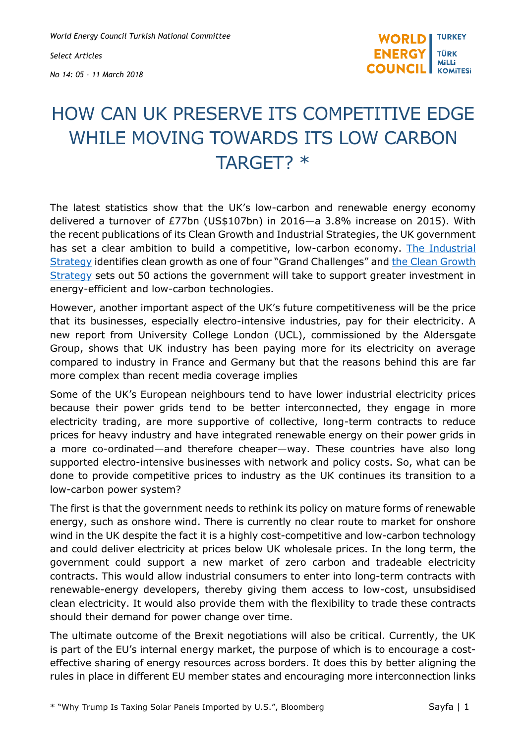*World Energy Council Turkish National Committee*

*Select Articles No 14: 05 - 11 March 2018*



## HOW CAN UK PRESERVE ITS COMPETITIVE EDGE WHILE MOVING TOWARDS ITS LOW CARBON TARGET? \*

The latest statistics show that the UK's low-carbon and renewable energy economy delivered a turnover of £77bn (US\$107bn) in 2016—a 3.8% increase on 2015). With the recent publications of its Clean Growth and Industrial Strategies, the UK government has set a clear ambition to build a competitive, low-carbon economy. [The Industrial](https://www.gov.uk/government/uploads/system/uploads/attachment_data/file/664563/industrial-strategy-white-paper-web-ready-version.pdf)  [Strategy](https://www.gov.uk/government/uploads/system/uploads/attachment_data/file/664563/industrial-strategy-white-paper-web-ready-version.pdf) identifies clean growth as one of four "Grand Challenges" and the Clean Growth [Strategy](https://www.gov.uk/government/publications/clean-growth-strategy) sets out 50 actions the government will take to support greater investment in energy-efficient and low-carbon technologies.

However, another important aspect of the UK's future competitiveness will be the price that its businesses, especially electro-intensive industries, pay for their electricity. A new report from University College London (UCL), commissioned by the Aldersgate Group, shows that UK industry has been paying more for its electricity on average compared to industry in France and Germany but that the reasons behind this are far more complex than recent media coverage implies

Some of the UK's European neighbours tend to have lower industrial electricity prices because their power grids tend to be better interconnected, they engage in more electricity trading, are more supportive of collective, long-term contracts to reduce prices for heavy industry and have integrated renewable energy on their power grids in a more co-ordinated—and therefore cheaper—way. These countries have also long supported electro-intensive businesses with network and policy costs. So, what can be done to provide competitive prices to industry as the UK continues its transition to a low-carbon power system?

The first is that the government needs to rethink its policy on mature forms of renewable energy, such as onshore wind. There is currently no clear route to market for onshore wind in the UK despite the fact it is a highly cost-competitive and low-carbon technology and could deliver electricity at prices below UK wholesale prices. In the long term, the government could support a new market of zero carbon and tradeable electricity contracts. This would allow industrial consumers to enter into long-term contracts with renewable-energy developers, thereby giving them access to low-cost, unsubsidised clean electricity. It would also provide them with the flexibility to trade these contracts should their demand for power change over time.

The ultimate outcome of the Brexit negotiations will also be critical. Currently, the UK is part of the EU's internal energy market, the purpose of which is to encourage a costeffective sharing of energy resources across borders. It does this by better aligning the rules in place in different EU member states and encouraging more interconnection links